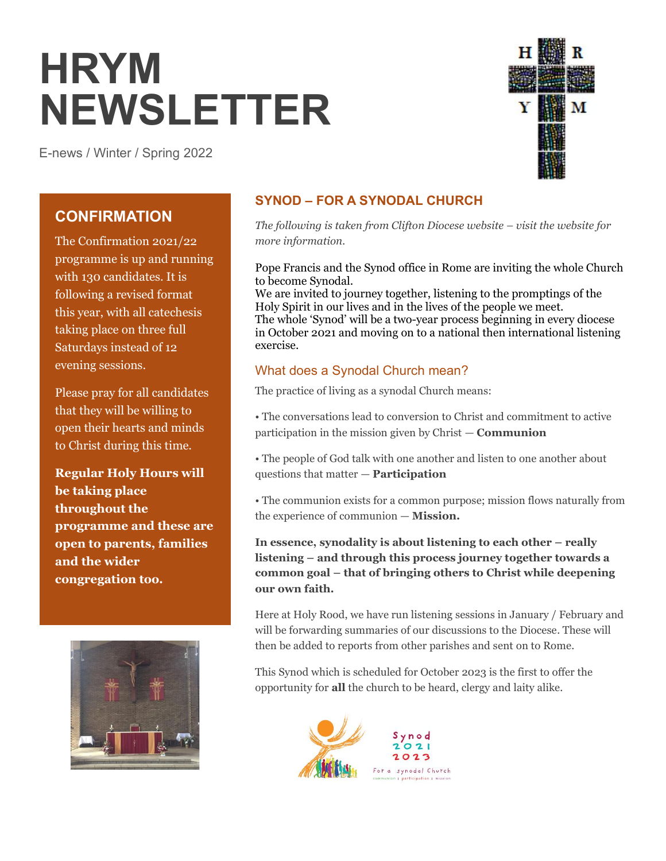# **HRYM NEWSLETTER**

E-news / Winter / Spring 2022



# **CONFIRMATION**

The Confirmation 2021/22 programme is up and running with 130 candidates. It is following a revised format this year, with all catechesis taking place on three full Saturdays instead of 12 evening sessions.

Please pray for all candidates that they will be willing to open their hearts and minds to Christ during this time.

**Regular Holy Hours will be taking place throughout the programme and these are open to parents, families and the wider congregation too.**



## **SYNOD – FOR A SYNODAL CHURCH**

*The following is taken from Clifton Diocese website – visit the website for more information.*

Pope Francis and the Synod office in Rome are inviting the whole Church to become Synodal.

We are invited to journey together, listening to the promptings of the Holy Spirit in our lives and in the lives of the people we meet. The whole 'Synod' will be a two-year process beginning in every diocese in October 2021 and moving on to a national then international listening exercise.

## What does a Synodal Church mean?

The practice of living as a synodal Church means:

• The conversations lead to conversion to Christ and commitment to active participation in the mission given by Christ — **Communion** 

• The people of God talk with one another and listen to one another about questions that matter — **Participation**

• The communion exists for a common purpose; mission flows naturally from the experience of communion — **Mission.**

**In essence, synodality is about listening to each other – really listening – and through this process journey together towards a common goal – that of bringing others to Christ while deepening our own faith.**

Here at Holy Rood, we have run listening sessions in January / February and will be forwarding summaries of our discussions to the Diocese. These will then be added to reports from other parishes and sent on to Rome.

This Synod which is scheduled for October 2023 is the first to offer the opportunity for **all** the church to be heard, clergy and laity alike.